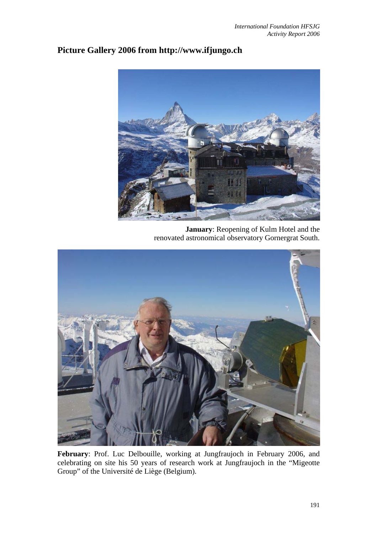## **Picture Gallery 2006 from http://www.ifjungo.ch**



**January**: Reopening of Kulm Hotel and the renovated astronomical observatory Gornergrat South.



**February**: Prof. Luc Delbouille, working at Jungfraujoch in February 2006, and celebrating on site his 50 years of research work at Jungfraujoch in the "Migeotte Group" of the Université de Liège (Belgium).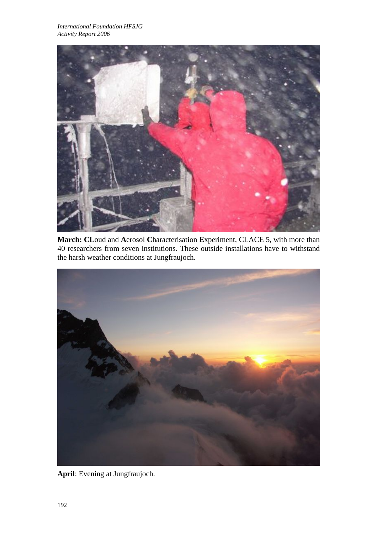

**March: CL**oud and **A**erosol **C**haracterisation **E**xperiment, CLACE 5, with more than 40 researchers from seven institutions. These outside installations have to withstand the harsh weather conditions at Jungfraujoch.



**April**: Evening at Jungfraujoch.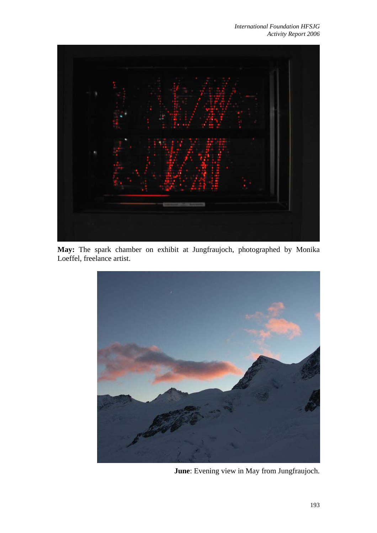*International Foundation HFSJG Activity Report 2006*



**May:** The spark chamber on exhibit at Jungfraujoch, photographed by Monika Loeffel, freelance artist.



**June**: Evening view in May from Jungfraujoch.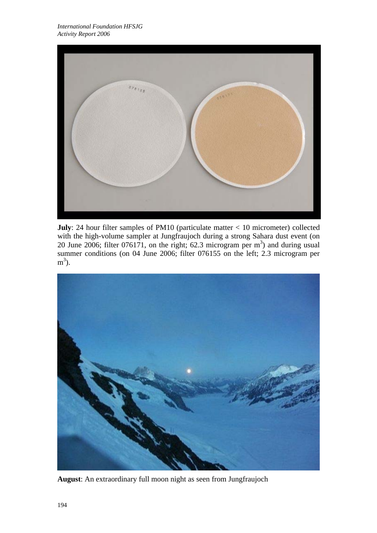

**July**: 24 hour filter samples of PM10 (particulate matter < 10 micrometer) collected with the high-volume sampler at Jungfraujoch during a strong Sahara dust event (on 20 June 2006; filter 076171, on the right; 62.3 microgram per  $m<sup>3</sup>$ ) and during usual summer conditions (on 04 June 2006; filter 076155 on the left; 2.3 microgram per  $m^3$ ).



**August**: An extraordinary full moon night as seen from Jungfraujoch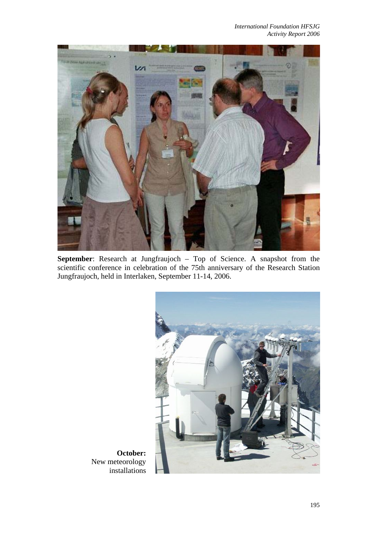

**September**: Research at Jungfraujoch – Top of Science. A snapshot from the scientific conference in celebration of the 75th anniversary of the Research Station Jungfraujoch, held in Interlaken, September 11-14, 2006.



**October:**  New meteorology installations